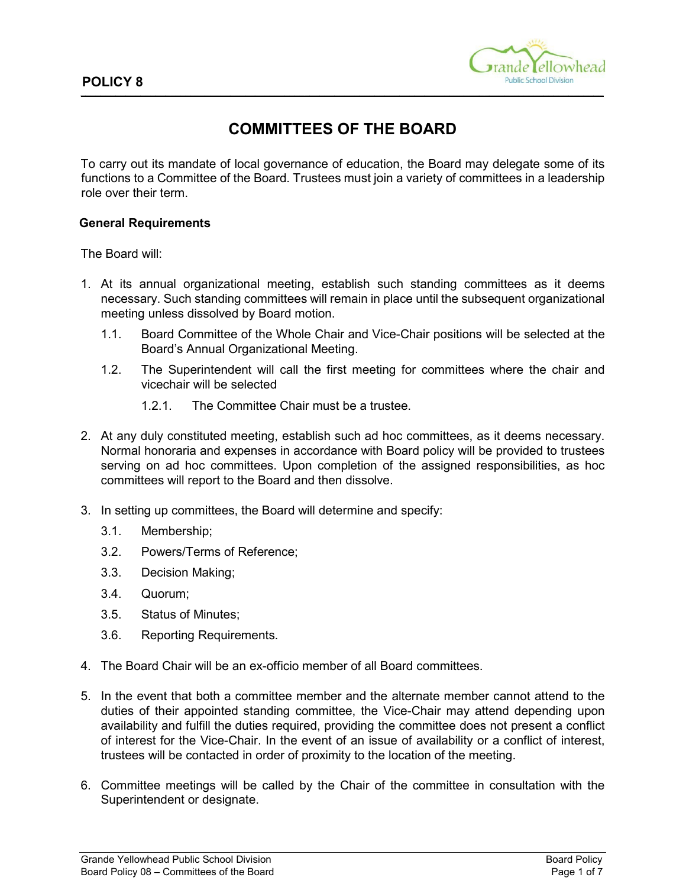

# **COMMITTEES OF THE BOARD**

To carry out its mandate of local governance of education, the Board may delegate some of its functions to a Committee of the Board. Trustees must join a variety of committees in a leadership role over their term.

#### **General Requirements**

The Board will:

- 1. At its annual organizational meeting, establish such standing committees as it deems necessary. Such standing committees will remain in place until the subsequent organizational meeting unless dissolved by Board motion.
	- 1.1. Board Committee of the Whole Chair and Vice-Chair positions will be selected at the Board's Annual Organizational Meeting.
	- 1.2. The Superintendent will call the first meeting for committees where the chair and vicechair will be selected
		- 1.2.1. The Committee Chair must be a trustee.
- 2. At any duly constituted meeting, establish such ad hoc committees, as it deems necessary. Normal honoraria and expenses in accordance with Board policy will be provided to trustees serving on ad hoc committees. Upon completion of the assigned responsibilities, as hoc committees will report to the Board and then dissolve.
- 3. In setting up committees, the Board will determine and specify:
	- 3.1. Membership;
	- 3.2. Powers/Terms of Reference;
	- 3.3. Decision Making;
	- 3.4. Quorum;
	- 3.5. Status of Minutes;
	- 3.6. Reporting Requirements.
- 4. The Board Chair will be an ex-officio member of all Board committees.
- 5. In the event that both a committee member and the alternate member cannot attend to the duties of their appointed standing committee, the Vice-Chair may attend depending upon availability and fulfill the duties required, providing the committee does not present a conflict of interest for the Vice-Chair. In the event of an issue of availability or a conflict of interest, trustees will be contacted in order of proximity to the location of the meeting.
- 6. Committee meetings will be called by the Chair of the committee in consultation with the Superintendent or designate.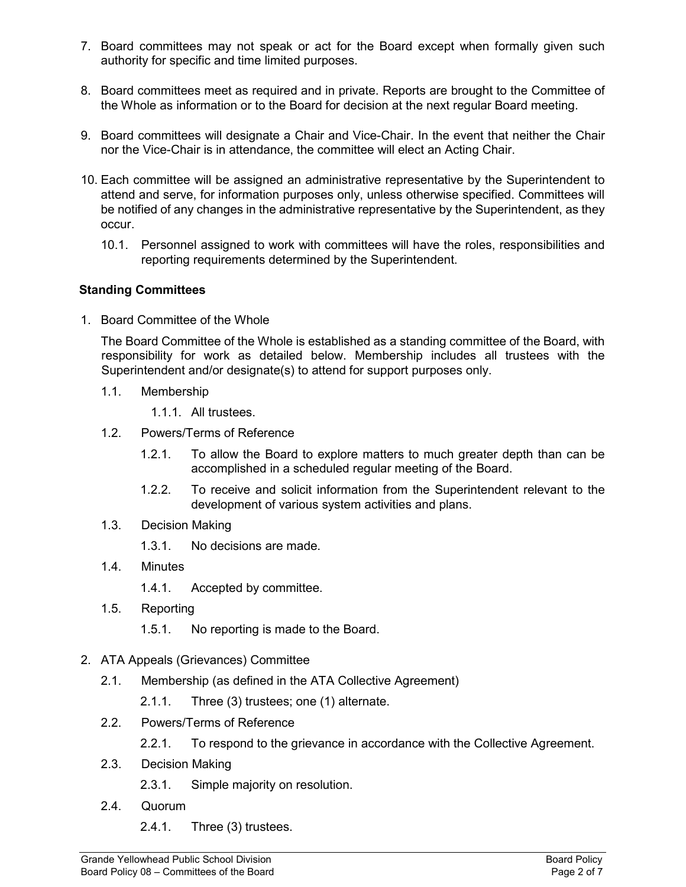- 7. Board committees may not speak or act for the Board except when formally given such authority for specific and time limited purposes.
- 8. Board committees meet as required and in private. Reports are brought to the Committee of the Whole as information or to the Board for decision at the next regular Board meeting.
- 9. Board committees will designate a Chair and Vice-Chair. In the event that neither the Chair nor the Vice-Chair is in attendance, the committee will elect an Acting Chair.
- 10. Each committee will be assigned an administrative representative by the Superintendent to attend and serve, for information purposes only, unless otherwise specified. Committees will be notified of any changes in the administrative representative by the Superintendent, as they occur.
	- 10.1. Personnel assigned to work with committees will have the roles, responsibilities and reporting requirements determined by the Superintendent.

## **Standing Committees**

1. Board Committee of the Whole

The Board Committee of the Whole is established as a standing committee of the Board, with responsibility for work as detailed below. Membership includes all trustees with the Superintendent and/or designate(s) to attend for support purposes only.

1.1. Membership

1.1.1. All trustees.

- 1.2. Powers/Terms of Reference
	- 1.2.1. To allow the Board to explore matters to much greater depth than can be accomplished in a scheduled regular meeting of the Board.
	- 1.2.2. To receive and solicit information from the Superintendent relevant to the development of various system activities and plans.
- 1.3. Decision Making
	- 1.3.1. No decisions are made.
- 1.4. Minutes
	- 1.4.1. Accepted by committee.
- 1.5. Reporting
	- 1.5.1. No reporting is made to the Board.
- 2. ATA Appeals (Grievances) Committee
	- 2.1. Membership (as defined in the ATA Collective Agreement)
		- 2.1.1. Three (3) trustees; one (1) alternate.
	- 2.2. Powers/Terms of Reference
		- 2.2.1. To respond to the grievance in accordance with the Collective Agreement.
	- 2.3. Decision Making
		- 2.3.1. Simple majority on resolution.
	- 2.4. Quorum
		- 2.4.1. Three (3) trustees.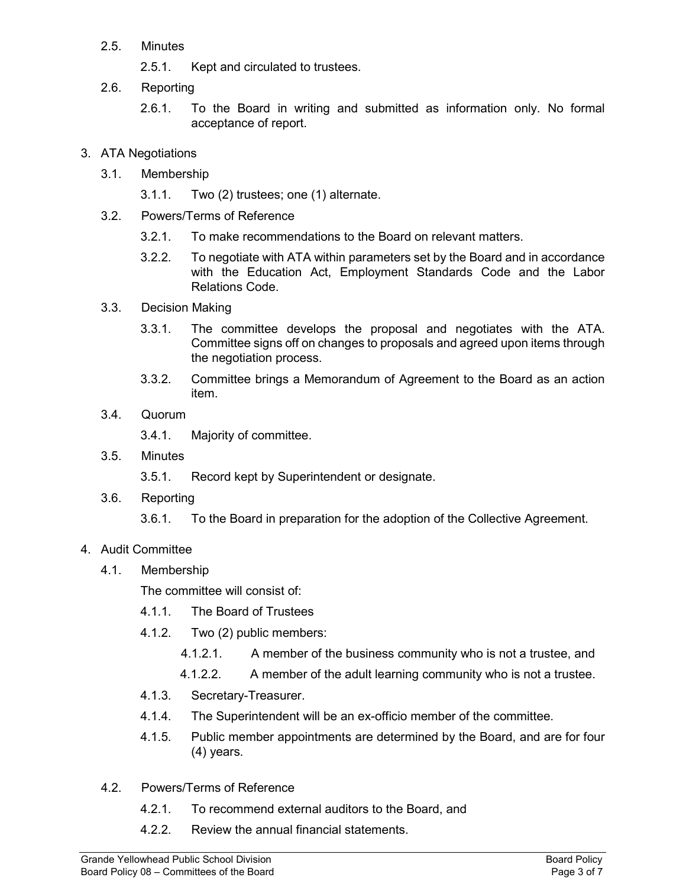- 2.5. Minutes
	- 2.5.1. Kept and circulated to trustees.
- 2.6. Reporting
	- 2.6.1. To the Board in writing and submitted as information only. No formal acceptance of report.
- 3. ATA Negotiations
	- 3.1. Membership
		- 3.1.1. Two (2) trustees; one (1) alternate.
	- 3.2. Powers/Terms of Reference
		- 3.2.1. To make recommendations to the Board on relevant matters.
		- 3.2.2. To negotiate with ATA within parameters set by the Board and in accordance with the Education Act, Employment Standards Code and the Labor Relations Code.
	- 3.3. Decision Making
		- 3.3.1. The committee develops the proposal and negotiates with the ATA. Committee signs off on changes to proposals and agreed upon items through the negotiation process.
		- 3.3.2. Committee brings a Memorandum of Agreement to the Board as an action item.
	- 3.4. Quorum
		- 3.4.1. Majority of committee.
	- 3.5. Minutes
		- 3.5.1. Record kept by Superintendent or designate.
	- 3.6. Reporting
		- 3.6.1. To the Board in preparation for the adoption of the Collective Agreement.

# 4. Audit Committee

4.1. Membership

The committee will consist of:

- 4.1.1. The Board of Trustees
- 4.1.2. Two (2) public members:
	- 4.1.2.1. A member of the business community who is not a trustee, and
	- 4.1.2.2. A member of the adult learning community who is not a trustee.
- 4.1.3. Secretary-Treasurer.
- 4.1.4. The Superintendent will be an ex-officio member of the committee.
- 4.1.5. Public member appointments are determined by the Board, and are for four (4) years.
- 4.2. Powers/Terms of Reference
	- 4.2.1. To recommend external auditors to the Board, and
	- 4.2.2. Review the annual financial statements.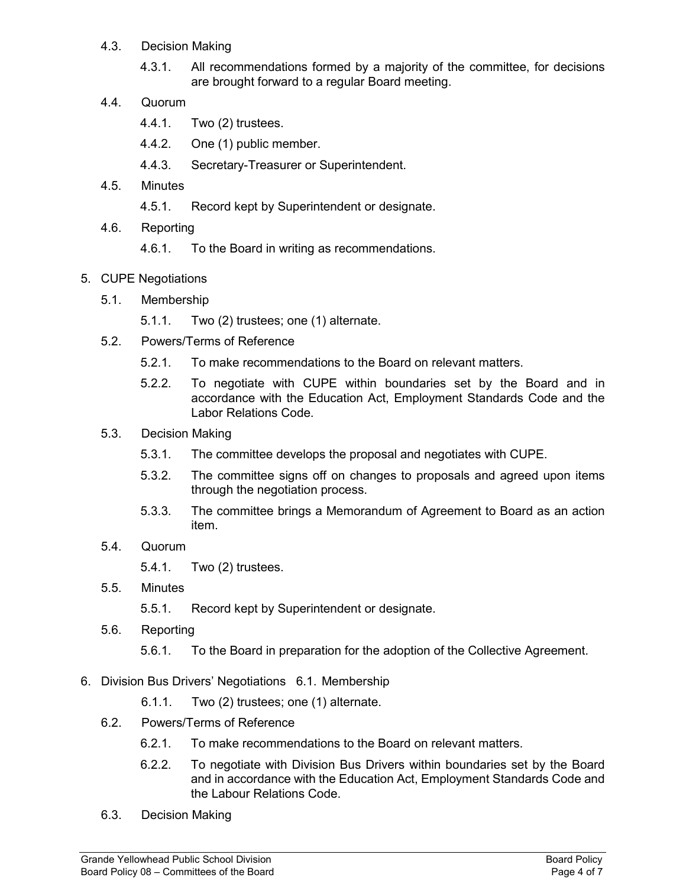- 4.3. Decision Making
	- 4.3.1. All recommendations formed by a majority of the committee, for decisions are brought forward to a regular Board meeting.
- 4.4. Quorum
	- 4.4.1. Two (2) trustees.
	- 4.4.2. One (1) public member.
	- 4.4.3. Secretary-Treasurer or Superintendent.
- 4.5. Minutes
	- 4.5.1. Record kept by Superintendent or designate.
- 4.6. Reporting
	- 4.6.1. To the Board in writing as recommendations.
- 5. CUPE Negotiations
	- 5.1. Membership
		- 5.1.1. Two (2) trustees; one (1) alternate.
	- 5.2. Powers/Terms of Reference
		- 5.2.1. To make recommendations to the Board on relevant matters.
		- 5.2.2. To negotiate with CUPE within boundaries set by the Board and in accordance with the Education Act, Employment Standards Code and the Labor Relations Code.
	- 5.3. Decision Making
		- 5.3.1. The committee develops the proposal and negotiates with CUPE.
		- 5.3.2. The committee signs off on changes to proposals and agreed upon items through the negotiation process.
		- 5.3.3. The committee brings a Memorandum of Agreement to Board as an action item.
	- 5.4. Quorum
		- 5.4.1. Two (2) trustees.
	- 5.5. Minutes

5.5.1. Record kept by Superintendent or designate.

- 5.6. Reporting
	- 5.6.1. To the Board in preparation for the adoption of the Collective Agreement.
- 6. Division Bus Drivers' Negotiations 6.1. Membership
	- 6.1.1. Two (2) trustees; one (1) alternate.
	- 6.2. Powers/Terms of Reference
		- 6.2.1. To make recommendations to the Board on relevant matters.
		- 6.2.2. To negotiate with Division Bus Drivers within boundaries set by the Board and in accordance with the Education Act, Employment Standards Code and the Labour Relations Code.
	- 6.3. Decision Making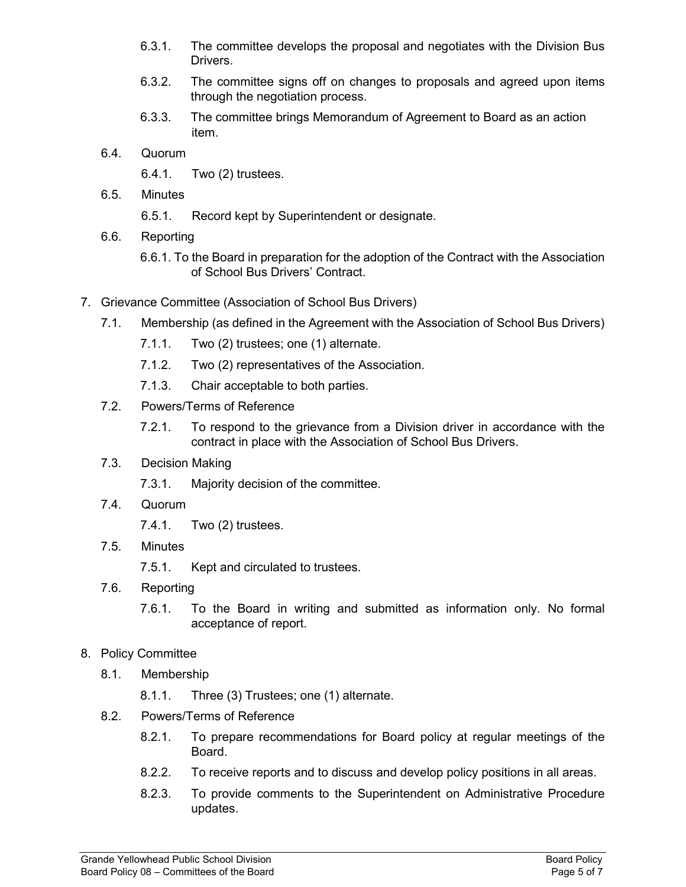- 6.3.1. The committee develops the proposal and negotiates with the Division Bus Drivers.
- 6.3.2. The committee signs off on changes to proposals and agreed upon items through the negotiation process.
- 6.3.3. The committee brings Memorandum of Agreement to Board as an action item.
- 6.4. Quorum
	- 6.4.1. Two (2) trustees.
- 6.5. Minutes
	- 6.5.1. Record kept by Superintendent or designate.
- 6.6. Reporting
	- 6.6.1. To the Board in preparation for the adoption of the Contract with the Association of School Bus Drivers' Contract.
- 7. Grievance Committee (Association of School Bus Drivers)
	- 7.1. Membership (as defined in the Agreement with the Association of School Bus Drivers)
		- 7.1.1. Two (2) trustees; one (1) alternate.
		- 7.1.2. Two (2) representatives of the Association.
		- 7.1.3. Chair acceptable to both parties.
	- 7.2. Powers/Terms of Reference
		- 7.2.1. To respond to the grievance from a Division driver in accordance with the contract in place with the Association of School Bus Drivers.
	- 7.3. Decision Making
		- 7.3.1. Majority decision of the committee.
	- 7.4. Quorum
		- 7.4.1. Two (2) trustees.
	- 7.5. Minutes
		- 7.5.1. Kept and circulated to trustees.
	- 7.6. Reporting
		- 7.6.1. To the Board in writing and submitted as information only. No formal acceptance of report.
- 8. Policy Committee
	- 8.1. Membership
		- 8.1.1. Three (3) Trustees; one (1) alternate.
	- 8.2. Powers/Terms of Reference
		- 8.2.1. To prepare recommendations for Board policy at regular meetings of the Board.
		- 8.2.2. To receive reports and to discuss and develop policy positions in all areas.
		- 8.2.3. To provide comments to the Superintendent on Administrative Procedure updates.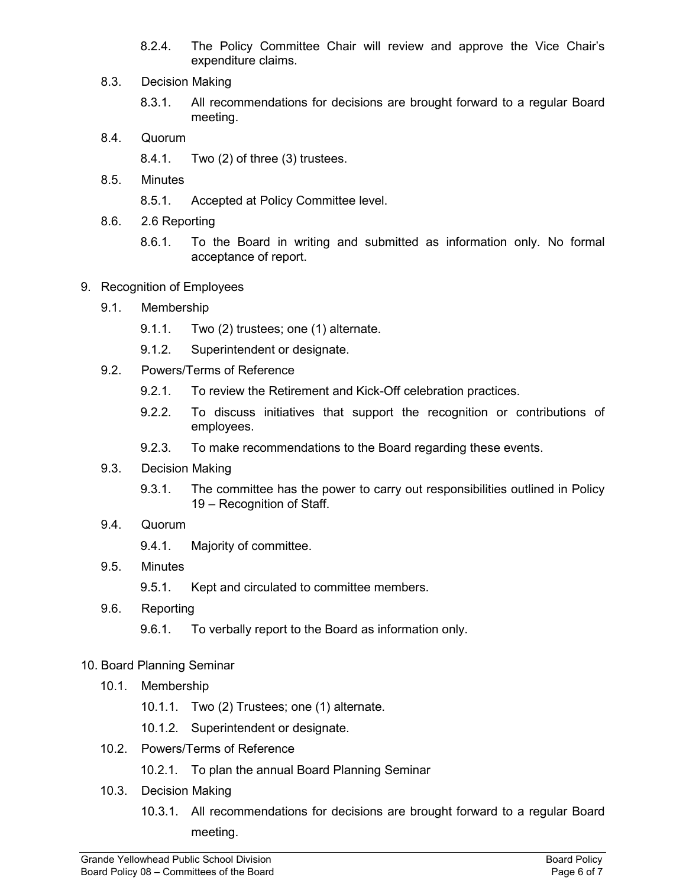- 8.2.4. The Policy Committee Chair will review and approve the Vice Chair's expenditure claims.
- 8.3. Decision Making
	- 8.3.1. All recommendations for decisions are brought forward to a regular Board meeting.
- 8.4. Quorum
	- 8.4.1. Two (2) of three (3) trustees.
- 8.5. Minutes
	- 8.5.1. Accepted at Policy Committee level.
- 8.6. 2.6 Reporting
	- 8.6.1. To the Board in writing and submitted as information only. No formal acceptance of report.
- 9. Recognition of Employees
	- 9.1. Membership
		- 9.1.1. Two (2) trustees; one (1) alternate.
		- 9.1.2. Superintendent or designate.
	- 9.2. Powers/Terms of Reference
		- 9.2.1. To review the Retirement and Kick-Off celebration practices.
		- 9.2.2. To discuss initiatives that support the recognition or contributions of employees.
		- 9.2.3. To make recommendations to the Board regarding these events.
	- 9.3. Decision Making
		- 9.3.1. The committee has the power to carry out responsibilities outlined in Policy 19 – Recognition of Staff.
	- 9.4. Quorum
		- 9.4.1. Majority of committee.
	- 9.5. Minutes
		- 9.5.1. Kept and circulated to committee members.
	- 9.6. Reporting
		- 9.6.1. To verbally report to the Board as information only.

# 10. Board Planning Seminar

- 10.1. Membership
	- 10.1.1. Two (2) Trustees; one (1) alternate.
	- 10.1.2. Superintendent or designate.
- 10.2. Powers/Terms of Reference
	- 10.2.1. To plan the annual Board Planning Seminar
- 10.3. Decision Making
	- 10.3.1. All recommendations for decisions are brought forward to a regular Board meeting.